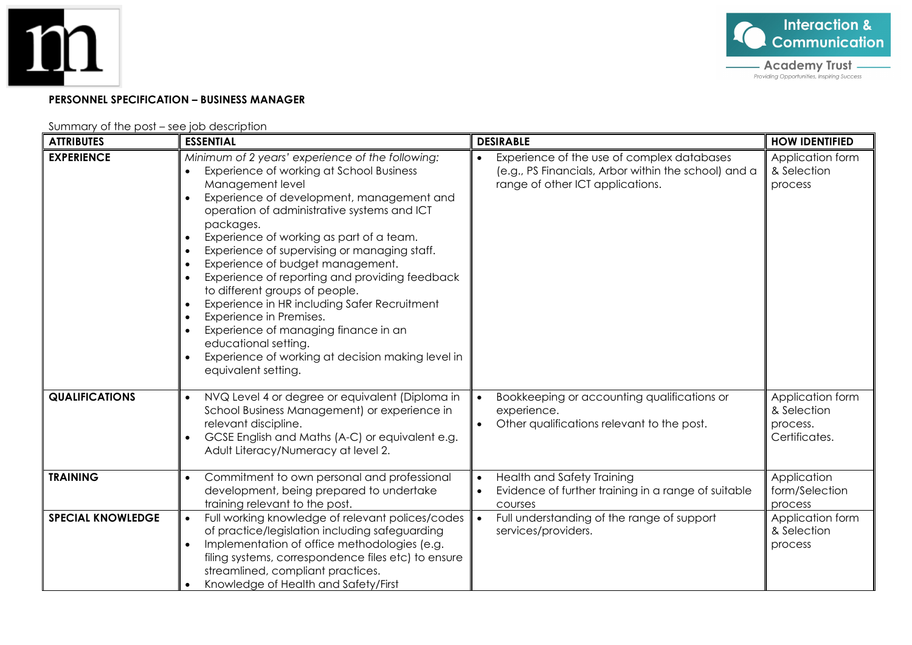



## **PERSONNEL SPECIFICATION – BUSINESS MANAGER**

Summary of the post – see job description

| <b>ATTRIBUTES</b>        | <b>ESSENTIAL</b>                                                                                                                                                                                                                                                                                                                                                                                                                                                                                                                                                                                                                                                     | <b>DESIRABLE</b>                                                                                                                       | <b>HOW IDENTIFIED</b>                                        |
|--------------------------|----------------------------------------------------------------------------------------------------------------------------------------------------------------------------------------------------------------------------------------------------------------------------------------------------------------------------------------------------------------------------------------------------------------------------------------------------------------------------------------------------------------------------------------------------------------------------------------------------------------------------------------------------------------------|----------------------------------------------------------------------------------------------------------------------------------------|--------------------------------------------------------------|
| <b>EXPERIENCE</b>        | Minimum of 2 years' experience of the following:<br>Experience of working at School Business<br>Management level<br>Experience of development, management and<br>operation of administrative systems and ICT<br>packages.<br>Experience of working as part of a team.<br>Experience of supervising or managing staff.<br>Experience of budget management.<br>Experience of reporting and providing feedback<br>to different groups of people.<br>Experience in HR including Safer Recruitment<br>Experience in Premises.<br>Experience of managing finance in an<br>educational setting.<br>Experience of working at decision making level in<br>equivalent setting. | Experience of the use of complex databases<br>(e.g., PS Financials, Arbor within the school) and a<br>range of other ICT applications. | Application form<br>& Selection<br>process                   |
| <b>QUALIFICATIONS</b>    | NVQ Level 4 or degree or equivalent (Diploma in<br>School Business Management) or experience in<br>relevant discipline.<br>GCSE English and Maths (A-C) or equivalent e.g.<br>Adult Literacy/Numeracy at level 2.                                                                                                                                                                                                                                                                                                                                                                                                                                                    | Bookkeeping or accounting qualifications or<br>$\bullet$<br>experience.<br>Other qualifications relevant to the post.                  | Application form<br>& Selection<br>process.<br>Certificates. |
| <b>TRAINING</b>          | Commitment to own personal and professional<br>development, being prepared to undertake<br>training relevant to the post.                                                                                                                                                                                                                                                                                                                                                                                                                                                                                                                                            | <b>Health and Safety Training</b><br>$\bullet$<br>Evidence of further training in a range of suitable<br>courses                       | Application<br>form/Selection<br>process                     |
| <b>SPECIAL KNOWLEDGE</b> | Full working knowledge of relevant polices/codes<br>of practice/legislation including safeguarding<br>Implementation of office methodologies (e.g.<br>filing systems, correspondence files etc) to ensure<br>streamlined, compliant practices.<br>Knowledge of Health and Safety/First                                                                                                                                                                                                                                                                                                                                                                               | Full understanding of the range of support<br>$\bullet$<br>services/providers.                                                         | Application form<br>& Selection<br>process                   |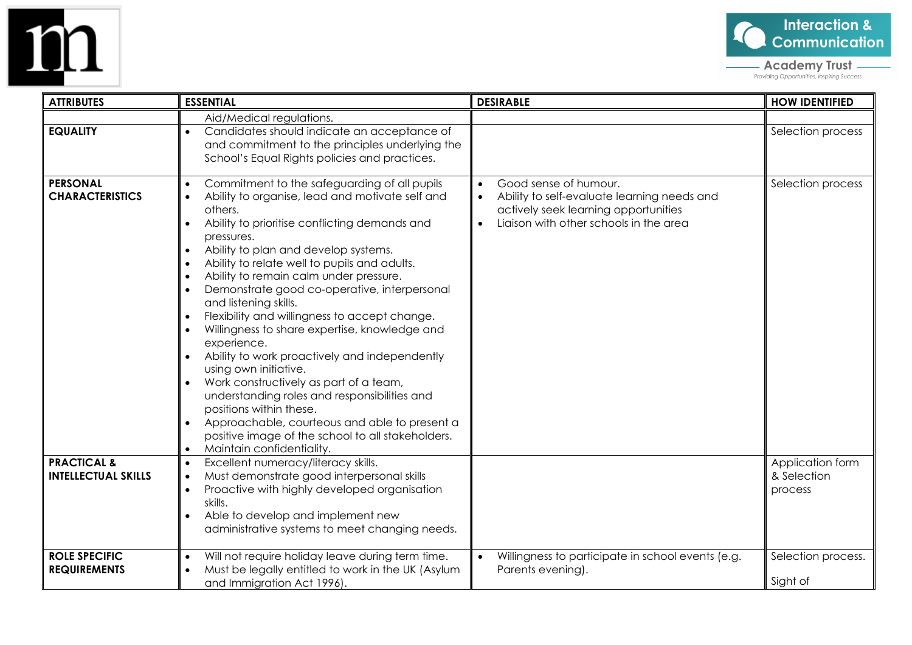



- **Academy Trust**<br>**Providing Opportunities, Inspiring Success** 

| <b>ATTRIBUTES</b>                           | <b>ESSENTIAL</b>                                                                                                                                                                                                                                                                                                                                                                                                                                                                                                                                                                                                                                                                                                                                                                                                                                                                                                                                                                                                 | <b>DESIRABLE</b>                                                                                                                                                    | <b>HOW IDENTIFIED</b>          |
|---------------------------------------------|------------------------------------------------------------------------------------------------------------------------------------------------------------------------------------------------------------------------------------------------------------------------------------------------------------------------------------------------------------------------------------------------------------------------------------------------------------------------------------------------------------------------------------------------------------------------------------------------------------------------------------------------------------------------------------------------------------------------------------------------------------------------------------------------------------------------------------------------------------------------------------------------------------------------------------------------------------------------------------------------------------------|---------------------------------------------------------------------------------------------------------------------------------------------------------------------|--------------------------------|
|                                             | Aid/Medical regulations.                                                                                                                                                                                                                                                                                                                                                                                                                                                                                                                                                                                                                                                                                                                                                                                                                                                                                                                                                                                         |                                                                                                                                                                     |                                |
| <b>EQUALITY</b>                             | Candidates should indicate an acceptance of<br>$\bullet$<br>and commitment to the principles underlying the<br>School's Equal Rights policies and practices.                                                                                                                                                                                                                                                                                                                                                                                                                                                                                                                                                                                                                                                                                                                                                                                                                                                     |                                                                                                                                                                     | Selection process              |
| <b>PERSONAL</b><br><b>CHARACTERISTICS</b>   | Commitment to the safeguarding of all pupils<br>$\bullet$<br>Ability to organise, lead and motivate self and<br>$\bullet$<br>others.<br>Ability to prioritise conflicting demands and<br>$\bullet$<br>pressures.<br>Ability to plan and develop systems.<br>$\bullet$<br>Ability to relate well to pupils and adults.<br>$\bullet$<br>Ability to remain calm under pressure.<br>$\bullet$<br>Demonstrate good co-operative, interpersonal<br>$\bullet$<br>and listening skills.<br>Flexibility and willingness to accept change.<br>$\bullet$<br>Willingness to share expertise, knowledge and<br>$\bullet$<br>experience.<br>Ability to work proactively and independently<br>$\bullet$<br>using own initiative.<br>Work constructively as part of a team,<br>$\bullet$<br>understanding roles and responsibilities and<br>positions within these.<br>Approachable, courteous and able to present a<br>$\bullet$<br>positive image of the school to all stakeholders.<br>Maintain confidentiality.<br>$\bullet$ | Good sense of humour.<br>Ability to self-evaluate learning needs and<br>$\bullet$<br>actively seek learning opportunities<br>Ligison with other schools in the grea | Selection process              |
| <b>PRACTICAL &amp;</b>                      | Excellent numeracy/literacy skills.<br>$\bullet$                                                                                                                                                                                                                                                                                                                                                                                                                                                                                                                                                                                                                                                                                                                                                                                                                                                                                                                                                                 |                                                                                                                                                                     | Application form               |
| <b>INTELLECTUAL SKILLS</b>                  | Must demonstrate good interpersonal skills<br>$\bullet$<br>Proactive with highly developed organisation<br>$\bullet$<br>skills.<br>Able to develop and implement new<br>$\bullet$<br>administrative systems to meet changing needs.                                                                                                                                                                                                                                                                                                                                                                                                                                                                                                                                                                                                                                                                                                                                                                              |                                                                                                                                                                     | & Selection<br>process         |
| <b>ROLE SPECIFIC</b><br><b>REQUIREMENTS</b> | Will not require holiday leave during term time.<br>$\bullet$<br>Must be legally entitled to work in the UK (Asylum<br>$\bullet$<br>and Immigration Act 1996).                                                                                                                                                                                                                                                                                                                                                                                                                                                                                                                                                                                                                                                                                                                                                                                                                                                   | Willingness to participate in school events (e.g.<br>Parents evening).                                                                                              | Selection process.<br>Sight of |